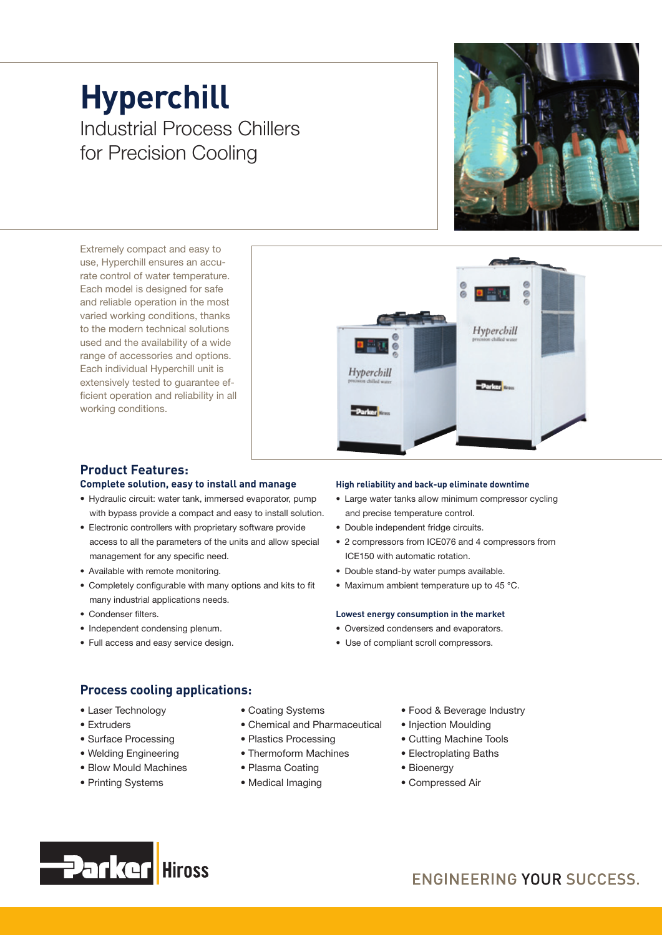## **Hyperchill** Industrial Process Chillers for Precision Cooling

Extremely compact and easy to use, Hyperchill ensures an accurate control of water temperature. Each model is designed for safe and reliable operation in the most varied working conditions, thanks to the modern technical solutions used and the availability of a wide range of accessories and options. Each individual Hyperchill unit is extensively tested to guarantee efficient operation and reliability in all working conditions.





### **Product Features:**

#### **Complete solution, easy to install and manage**

- Hydraulic circuit: water tank, immersed evaporator, pump with bypass provide a compact and easy to install solution.
- Electronic controllers with proprietary software provide access to all the parameters of the units and allow special management for any specific need.
- Available with remote monitoring.
- Completely configurable with many options and kits to fit many industrial applications needs.
- Condenser filters.
- Independent condensing plenum.
- Full access and easy service design.

#### **High reliability and back-up eliminate downtime**

- Large water tanks allow minimum compressor cycling and precise temperature control.
- Double independent fridge circuits.
- 2 compressors from ICE076 and 4 compressors from ICE150 with automatic rotation.
- Double stand-by water pumps available.
- Maximum ambient temperature up to 45 °C.

#### **Lowest energy consumption in the market**

- Oversized condensers and evaporators.
- Use of compliant scroll compressors.

#### **Process cooling applications:**

- Laser Technology
- Extruders
- Surface Processing
- Welding Engineering
- Blow Mould Machines
- Printing Systems
- Coating Systems
- Chemical and Pharmaceutical
- Plastics Processing
- Thermoform Machines
- Plasma Coating
- Medical Imaging
- Food & Beverage Industry
- Injection Moulding
- Cutting Machine Tools
- Electroplating Baths
- Bioenergy
- Compressed Air

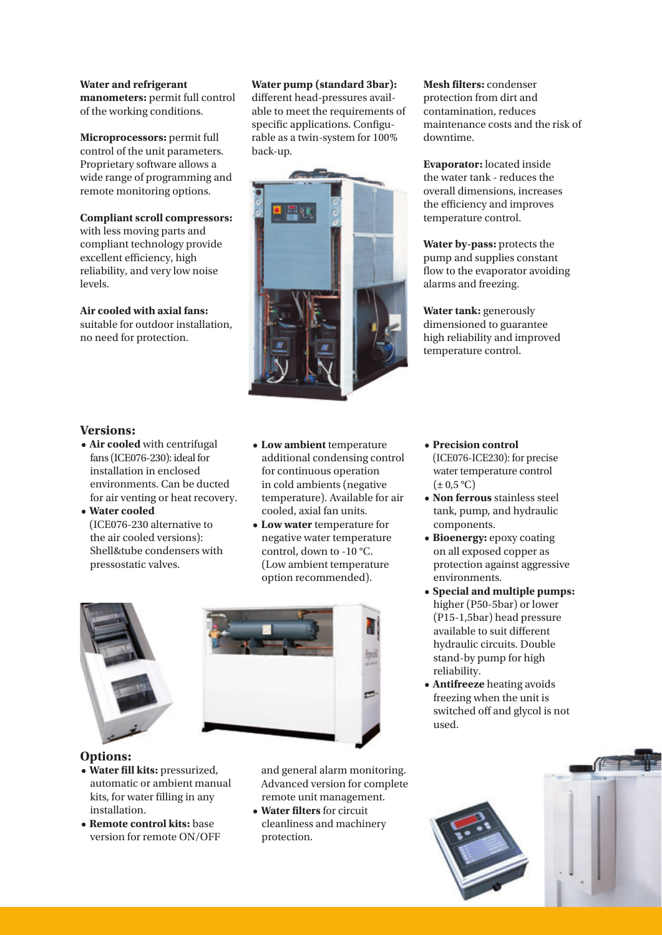**Water and refrigerant manometers:** permit full control of the working conditions.

**Microprocessors:** permit full control of the unit parameters. Proprietary software allows a wide range of programming and remote monitoring options.

#### **Compliant scroll compressors:**

with less moving parts and compliant technology provide excellent efficiency, high reliability, and very low noise levels.

**Air cooled with axial fans:** suitable for outdoor installation, no need for protection.

#### **Water pump (standard 3bar):**

different head-pressures available to meet the requirements of specific applications. Configurable as a twin-system for 100% back-up.



**Mesh filters:** condenser protection from dirt and contamination, reduces maintenance costs and the risk of downtime.

**Evaporator:** located inside the water tank - reduces the overall dimensions, increases the efficiency and improves temperature control.

**Water by-pass:** protects the pump and supplies constant flow to the evaporator avoiding alarms and freezing.

**Water tank:** generously dimensioned to guarantee high reliability and improved temperature control.

#### **Versions:**

- **Air cooled** with centrifugal fans (ICE076-230): ideal for installation in enclosed environments. Can be ducted for air venting or heat recovery.
- **Water cooled** (ICE076-230 alternative to the air cooled versions): Shell&tube condensers with pressostatic valves.
- **Low ambient** temperature additional condensing control for continuous operation in cold ambients (negative temperature). Available for air cooled, axial fan units.
- **Low water** temperature for negative water temperature control, down to -10 °C. (Low ambient temperature option recommended).





#### **Options:**

- **Water fill kits:** pressurized, automatic or ambient manual kits, for water filling in any installation.
- **Remote control kits:** base version for remote ON/OFF

and general alarm monitoring. Advanced version for complete remote unit management.

**• Water filters** for circuit cleanliness and machinery protection.

- **Precision control** (ICE076-ICE230): for precise water temperature control  $(\pm 0.5 \degree C)$
- **Non ferrous** stainless steel tank, pump, and hydraulic components.
- **Bioenergy:** epoxy coating on all exposed copper as protection against aggressive environments.
- **Special and multiple pumps:** higher (P50-5bar) or lower (P15-1,5bar) head pressure available to suit different hydraulic circuits. Double stand-by pump for high reliability.
- **Antifreeze** heating avoids freezing when the unit is switched off and glycol is not used.

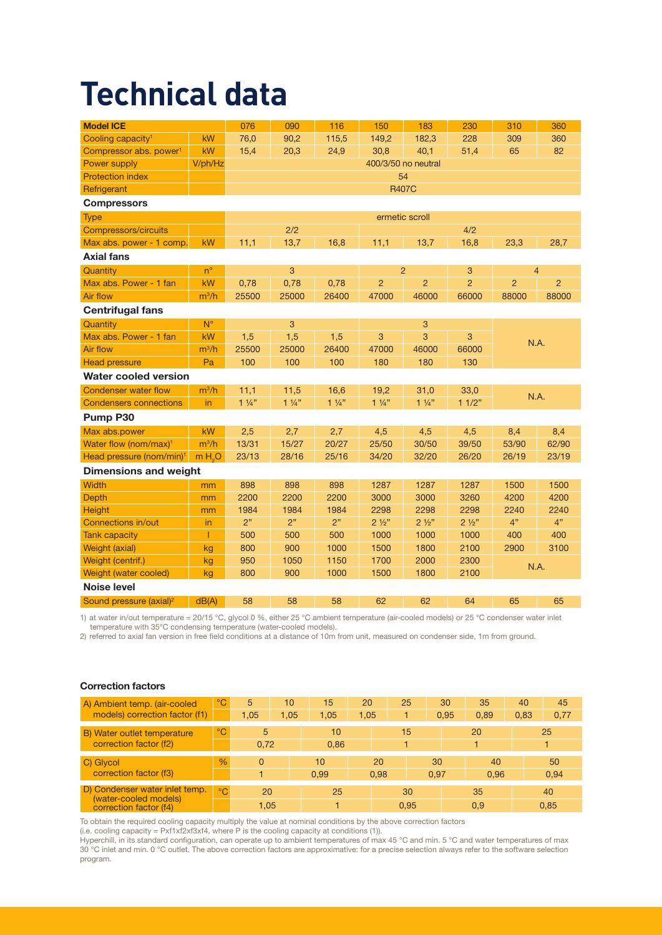# **Technical data**

| <b>Model ICE</b>                     |                    | 076                 | 090            | 116            | 150                  | 183            | 230            | 310            | 360            |  |  |
|--------------------------------------|--------------------|---------------------|----------------|----------------|----------------------|----------------|----------------|----------------|----------------|--|--|
| Cooling capacity <sup>1</sup>        | kW                 | 76,0                | 90,2           | 115,5          | 149,2                | 182,3          | 228            | 309            | 360            |  |  |
| Compressor abs. power <sup>1</sup>   | kW                 | 15,4                | 20,3           | 24,9           | 30,8                 | 40,1           | 51,4           | 65             | 82             |  |  |
| Power supply                         | V/ph/Hz            | 400/3/50 no neutral |                |                |                      |                |                |                |                |  |  |
| <b>Protection index</b>              |                    | 54                  |                |                |                      |                |                |                |                |  |  |
| Refrigerant                          |                    | <b>R407C</b>        |                |                |                      |                |                |                |                |  |  |
| <b>Compressors</b>                   |                    |                     |                |                |                      |                |                |                |                |  |  |
| <b>Type</b>                          |                    | ermetic scroll      |                |                |                      |                |                |                |                |  |  |
| Compressors/circuits                 |                    | 2/2                 |                |                |                      |                | 4/2            |                |                |  |  |
| Max abs. power - 1 comp.             | kW                 | 11,1                | 13,7           | 16,8           | 11,1                 | 13,7           | 16,8           | 23,3           | 28,7           |  |  |
| <b>Axial fans</b>                    |                    |                     |                |                |                      |                |                |                |                |  |  |
| Quantity                             | $n^{\circ}$        |                     | 3              |                | $\overline{2}$       |                | 3              | $\overline{4}$ |                |  |  |
| Max abs. Power - 1 fan               | kW                 | 0,78                | 0,78           | 0,78           | $\overline{2}$       | $\overline{2}$ | $\overline{2}$ | $\overline{2}$ | $\overline{2}$ |  |  |
| Air flow                             | $m^3/h$            | 25500               | 25000          | 26400          | 47000                | 46000          | 66000          | 88000          | 88000          |  |  |
| <b>Centrifugal fans</b>              |                    |                     |                |                |                      |                |                |                |                |  |  |
| Quantity                             | $N^{\circ}$        |                     | 3              |                |                      | 3              |                |                |                |  |  |
| Max abs. Power - 1 fan               | kW                 | 1,5                 | 1,5            | 1,5            | 3                    | 3              | 3              | N.A.           |                |  |  |
| Air flow                             | $m^3/h$            | 25500               | 25000          | 26400          | 47000                | 46000          | 66000          |                |                |  |  |
| <b>Head pressure</b>                 | Pa                 | 100                 | 100            | 100            | 180                  | 180            | 130            |                |                |  |  |
| <b>Water cooled version</b>          |                    |                     |                |                |                      |                |                |                |                |  |  |
| <b>Condenser water flow</b>          | $m^3/h$            | 11,1                | 11,5           | 16,6           | 19,2                 | 31,0           | 33,0           | N.A.           |                |  |  |
| <b>Condensers connections</b>        | in                 | $1\frac{1}{4}$      | $1\frac{1}{4}$ | $1\frac{1}{4}$ | $1\frac{1}{4}$       | $1\frac{1}{4}$ | 11/2"          |                |                |  |  |
| Pump P30                             |                    |                     |                |                |                      |                |                |                |                |  |  |
| Max abs.power                        | kW                 | 2,5                 | 2,7            | 2,7            | 4,5                  | 4,5            | 4,5            | 8,4            | 8,4            |  |  |
| Water flow (nom/max) <sup>1</sup>    | $m^3/h$            | 13/31               | 15/27          | 20/27          | 25/50                | 30/50          | 39/50          | 53/90          | 62/90          |  |  |
| Head pressure (nom/min) <sup>1</sup> | m H <sub>2</sub> O | 23/13               | 28/16          | 25/16          | 34/20                | 32/20          | 26/20          | 26/19          | 23/19          |  |  |
| <b>Dimensions and weight</b>         |                    |                     |                |                |                      |                |                |                |                |  |  |
| <b>Width</b>                         | mm                 | 898                 | 898            | 898            | 1287                 | 1287           | 1287           | 1500           | 1500           |  |  |
| <b>Depth</b>                         | mm                 | 2200                | 2200           | 2200           | 3000                 | 3000           | 3260           | 4200           | 4200           |  |  |
| <b>Height</b>                        | mm                 | 1984                | 1984           | 1984           | 2298                 | 2298           | 2298           | 2240           | 2240           |  |  |
| <b>Connections in/out</b>            | in                 | 2"                  | 2"             | 2"             | $2\frac{1}{2}$       | $2\frac{1}{2}$ | $2\frac{1}{2}$ | $4"$           | 4"             |  |  |
| <b>Tank capacity</b>                 | T                  | 500                 | 500            | 500            | 1000                 | 1000           | 1000           | 400            | 400            |  |  |
| Weight (axial)                       | kg                 | 800                 | 900            | 1000           | 1500                 | 1800           | 2100           | 2900           | 3100           |  |  |
| Weight (centrif.)                    | kg                 | 950                 | 1050           | 1150           | 1700                 | 2000           | 2300           | N.A.           |                |  |  |
| Weight (water cooled)                | kg                 | 800                 | 900            | 1000           | 1500<br>1800<br>2100 |                |                |                |                |  |  |
| <b>Noise level</b>                   |                    |                     |                |                |                      |                |                |                |                |  |  |
| Sound pressure (axial) <sup>2</sup>  | dB(A)              | 58                  | 58             | 58             | 62                   | 62             | 64             | 65             | 65             |  |  |

1) at water in/out temperature = 20/15 °C, glycol 0 %, either 25 °C ambient temperature (air-cooled models) or 25 °C condenser water inlet temperature with 35°C condensing temperature (water-cooled models).

2) referred to axial fan version in free field conditions at a distance of 10m from unit, measured on condenser side, 1m from ground.

| A) Ambient temp. (air-cooled                                                      | $\mathrm{C}$  | 5        | 10   | 15   | 20   |      | 25   | 30   | 35   | 40   | 45   |  |
|-----------------------------------------------------------------------------------|---------------|----------|------|------|------|------|------|------|------|------|------|--|
| models) correction factor (f1)                                                    |               | 1.05     | 1,05 | 1,05 | 1,05 |      |      | 0.95 | 0,89 | 0,83 | 0,77 |  |
| B) Water outlet temperature                                                       | $^{\circ}$ C  | 5        |      | 10   |      |      | 15   |      | 20   |      | 25   |  |
| correction factor (f2)                                                            |               | 0.72     |      | 0.86 |      |      |      |      |      |      |      |  |
| C) Glycol                                                                         | $\frac{0}{6}$ | $\Omega$ |      | 10   |      | 20   |      | 30   | 40   |      | 50   |  |
| correction factor (f3)                                                            |               |          |      | 0.99 |      | 0.98 |      | 0.97 | 0.96 |      | 0.94 |  |
| D) Condenser water inlet temp.<br>(water-cooled models)<br>correction factor (f4) | $^{\circ}$ C  | 20       |      | 25   |      | 30   |      |      | 35   |      | 40   |  |
|                                                                                   |               | 1.05     |      |      |      |      | 0.95 |      | 0.9  |      | 0.85 |  |

#### Correction factors

To obtain the required cooling capacity multiply the value at nominal conditions by the above correction factors

(i.e. cooling capacity =  $Pxf1xf2xf3xf4$ , where P is the cooling capacity at conditions (1)).

Hyperchill, in its standard configuration, can operate up to ambient temperatures of max 45 °C and min. 5 °C and water temperatures of max 30 °C inlet and min. 0 °C outlet. The above correction factors are approximative: for a precise selection always refer to the software selection program.